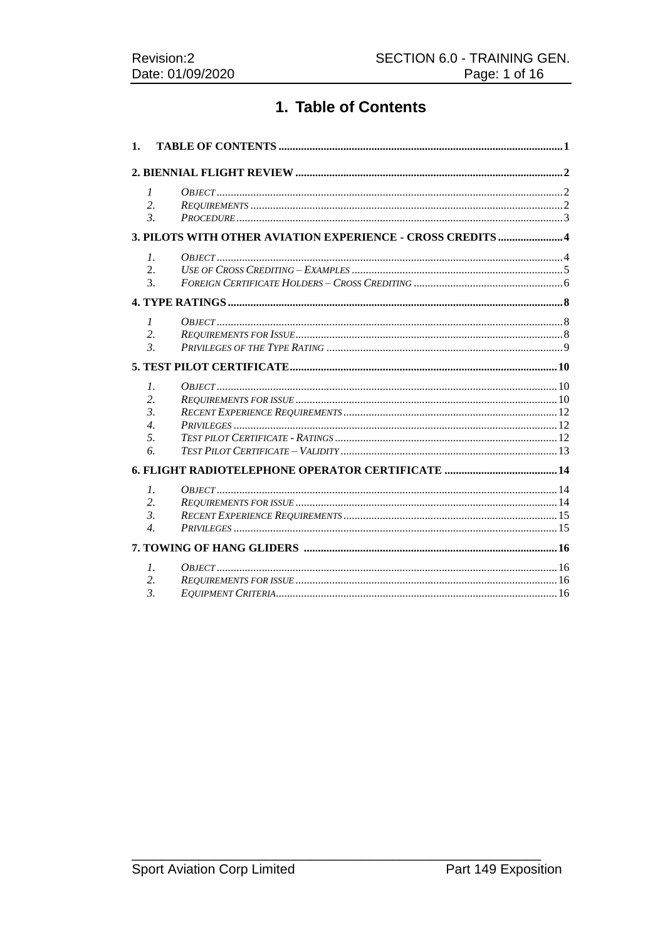# 1. Table of Contents

| 1. |                                                             |  |
|----|-------------------------------------------------------------|--|
|    |                                                             |  |
|    | $\mathcal{I}$                                               |  |
|    | 2.                                                          |  |
|    | $\mathfrak{Z}$                                              |  |
|    | 3. PILOTS WITH OTHER AVIATION EXPERIENCE - CROSS CREDITS  4 |  |
|    | $\mathcal{I}$ .                                             |  |
|    | 2.                                                          |  |
|    | 3.                                                          |  |
|    |                                                             |  |
|    | $\mathcal{I}$                                               |  |
|    | 2.                                                          |  |
|    | $\mathfrak{Z}$                                              |  |
|    |                                                             |  |
|    |                                                             |  |
|    | $\mathcal{I}$ .                                             |  |
|    | 2.<br>$\mathcal{E}$                                         |  |
|    | $\overline{4}$ .                                            |  |
|    | 5.                                                          |  |
|    | 6.                                                          |  |
|    |                                                             |  |
|    | $\mathcal{I}$ .                                             |  |
|    |                                                             |  |
|    |                                                             |  |
|    | 2.                                                          |  |
|    | $\mathcal{E}$<br>$\overline{4}$ .                           |  |
|    |                                                             |  |
|    |                                                             |  |
|    | $\mathcal{I}$ .<br>2.                                       |  |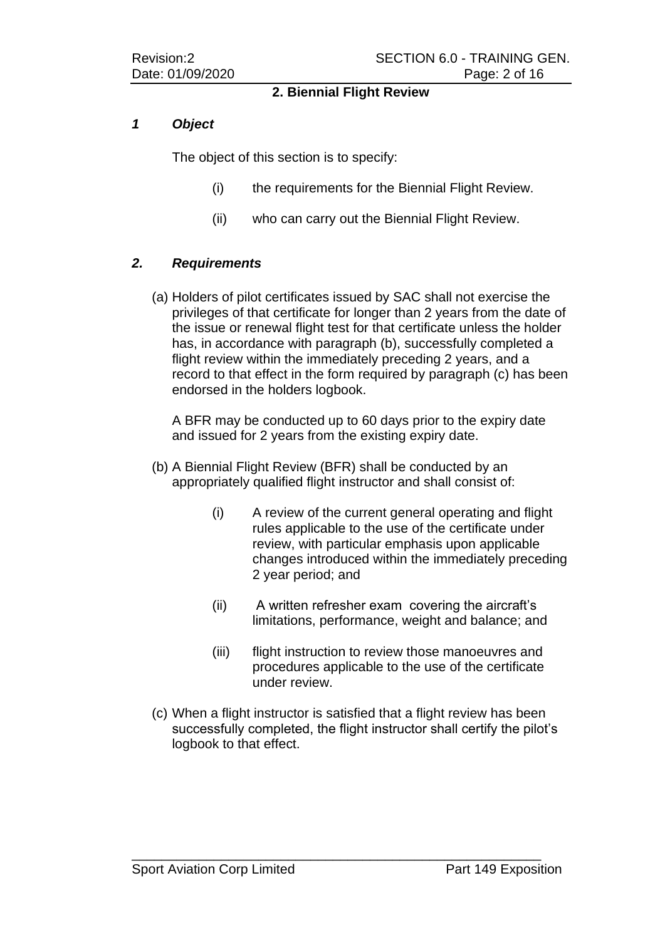### **2. Biennial Flight Review**

### *1 Object*

The object of this section is to specify:

- (i) the requirements for the Biennial Flight Review.
- (ii) who can carry out the Biennial Flight Review.

## *2. Requirements*

(a) Holders of pilot certificates issued by SAC shall not exercise the privileges of that certificate for longer than 2 years from the date of the issue or renewal flight test for that certificate unless the holder has, in accordance with paragraph (b), successfully completed a flight review within the immediately preceding 2 years, and a record to that effect in the form required by paragraph (c) has been endorsed in the holders logbook.

A BFR may be conducted up to 60 days prior to the expiry date and issued for 2 years from the existing expiry date.

- (b) A Biennial Flight Review (BFR) shall be conducted by an appropriately qualified flight instructor and shall consist of:
	- (i) A review of the current general operating and flight rules applicable to the use of the certificate under review, with particular emphasis upon applicable changes introduced within the immediately preceding 2 year period; and
	- (ii) A written refresher exam covering the aircraft's limitations, performance, weight and balance; and
	- (iii) flight instruction to review those manoeuvres and procedures applicable to the use of the certificate under review.
- (c) When a flight instructor is satisfied that a flight review has been successfully completed, the flight instructor shall certify the pilot's logbook to that effect.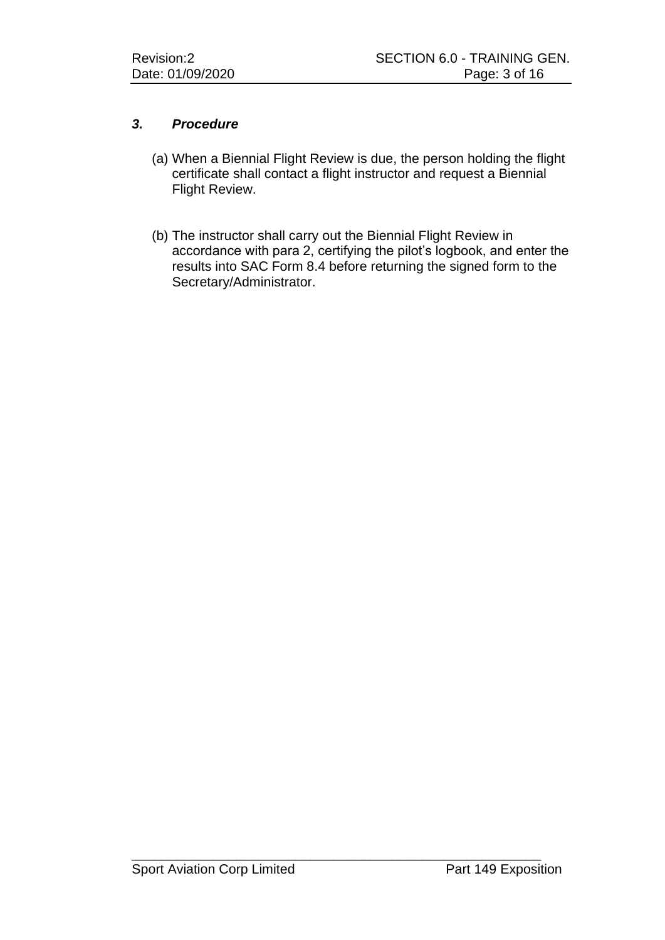## *3. Procedure*

- (a) When a Biennial Flight Review is due, the person holding the flight certificate shall contact a flight instructor and request a Biennial Flight Review.
- (b) The instructor shall carry out the Biennial Flight Review in accordance with para 2, certifying the pilot's logbook, and enter the results into SAC Form 8.4 before returning the signed form to the Secretary/Administrator.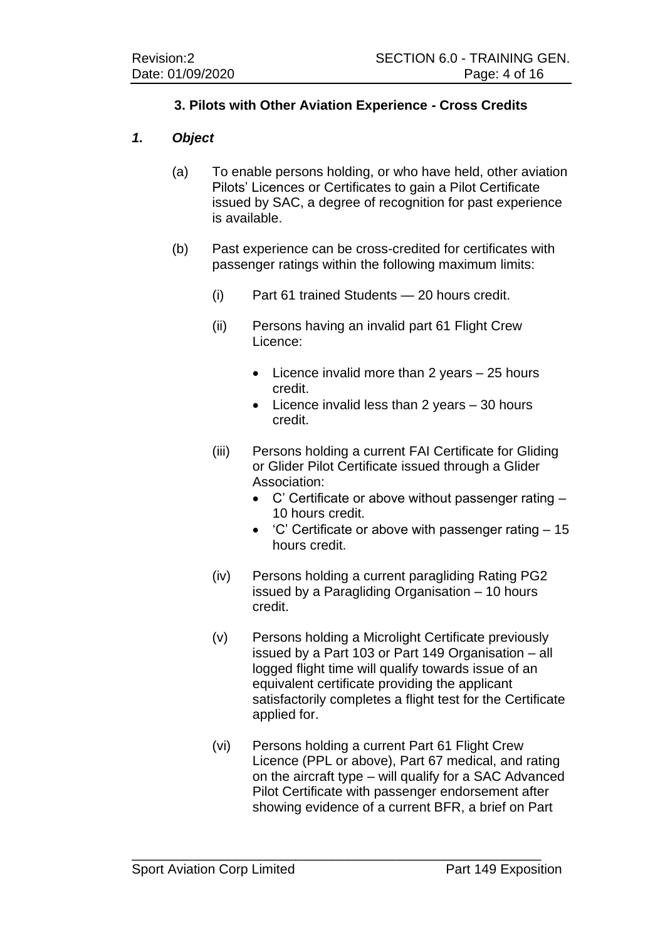## **3. Pilots with Other Aviation Experience - Cross Credits**

### *1. Object*

- (a) To enable persons holding, or who have held, other aviation Pilots' Licences or Certificates to gain a Pilot Certificate issued by SAC, a degree of recognition for past experience is available.
- (b) Past experience can be cross-credited for certificates with passenger ratings within the following maximum limits:
	- (i) Part 61 trained Students 20 hours credit.
	- (ii) Persons having an invalid part 61 Flight Crew Licence:
		- Licence invalid more than 2 years 25 hours credit.
		- Licence invalid less than 2 years 30 hours credit.
	- (iii) Persons holding a current FAI Certificate for Gliding or Glider Pilot Certificate issued through a Glider Association:
		- C' Certificate or above without passenger rating 10 hours credit.
		- 'C' Certificate or above with passenger rating 15 hours credit.
	- (iv) Persons holding a current paragliding Rating PG2 issued by a Paragliding Organisation – 10 hours credit.
	- (v) Persons holding a Microlight Certificate previously issued by a Part 103 or Part 149 Organisation – all logged flight time will qualify towards issue of an equivalent certificate providing the applicant satisfactorily completes a flight test for the Certificate applied for.
	- (vi) Persons holding a current Part 61 Flight Crew Licence (PPL or above), Part 67 medical, and rating on the aircraft type – will qualify for a SAC Advanced Pilot Certificate with passenger endorsement after showing evidence of a current BFR, a brief on Part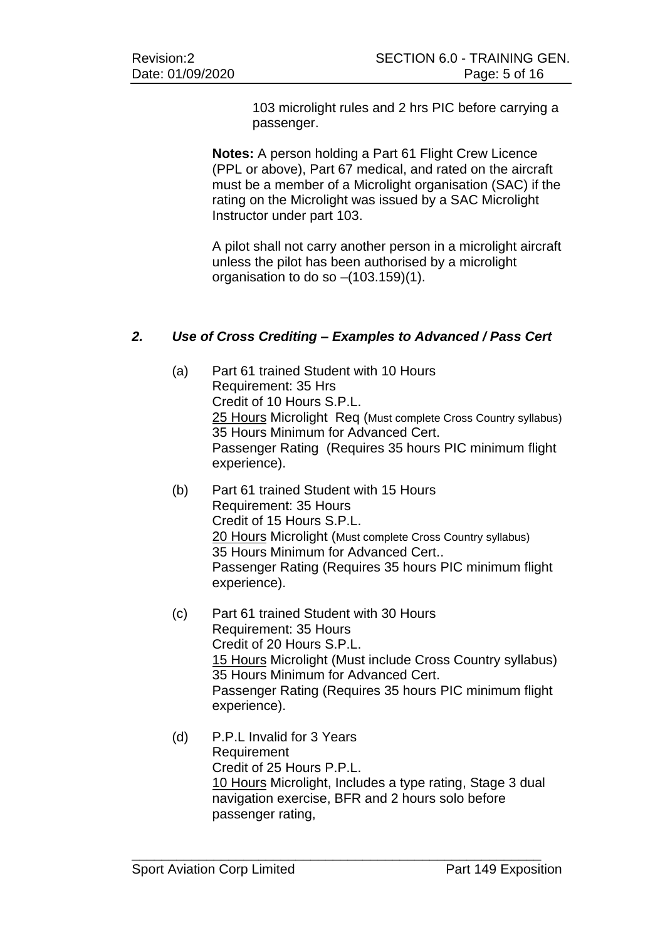103 microlight rules and 2 hrs PIC before carrying a passenger.

**Notes:** A person holding a Part 61 Flight Crew Licence (PPL or above), Part 67 medical, and rated on the aircraft must be a member of a Microlight organisation (SAC) if the rating on the Microlight was issued by a SAC Microlight Instructor under part 103.

A pilot shall not carry another person in a microlight aircraft unless the pilot has been authorised by a microlight organisation to do so –(103.159)(1).

## *2. Use of Cross Crediting – Examples to Advanced / Pass Cert*

- (a) Part 61 trained Student with 10 Hours Requirement: 35 Hrs Credit of 10 Hours S.P.L. 25 Hours Microlight Req (Must complete Cross Country syllabus) 35 Hours Minimum for Advanced Cert. Passenger Rating (Requires 35 hours PIC minimum flight experience).
- (b) Part 61 trained Student with 15 Hours Requirement: 35 Hours Credit of 15 Hours S.P.L. 20 Hours Microlight (Must complete Cross Country syllabus) 35 Hours Minimum for Advanced Cert.. Passenger Rating (Requires 35 hours PIC minimum flight experience).
- (c) Part 61 trained Student with 30 Hours Requirement: 35 Hours Credit of 20 Hours S.P.L. 15 Hours Microlight (Must include Cross Country syllabus) 35 Hours Minimum for Advanced Cert. Passenger Rating (Requires 35 hours PIC minimum flight experience).
- (d) P.P.L Invalid for 3 Years Requirement Credit of 25 Hours P.P.L. 10 Hours Microlight, Includes a type rating, Stage 3 dual navigation exercise, BFR and 2 hours solo before passenger rating,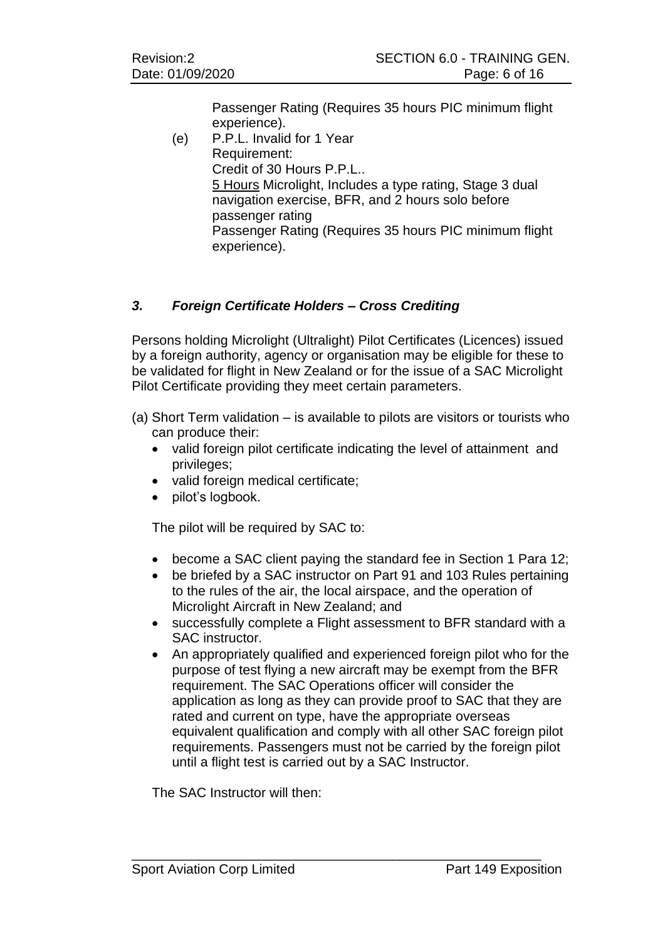Passenger Rating (Requires 35 hours PIC minimum flight experience).

(e) P.P.L. Invalid for 1 Year Requirement: Credit of 30 Hours P.P.L.. 5 Hours Microlight, Includes a type rating, Stage 3 dual navigation exercise, BFR, and 2 hours solo before passenger rating Passenger Rating (Requires 35 hours PIC minimum flight experience).

## *3. Foreign Certificate Holders – Cross Crediting*

Persons holding Microlight (Ultralight) Pilot Certificates (Licences) issued by a foreign authority, agency or organisation may be eligible for these to be validated for flight in New Zealand or for the issue of a SAC Microlight Pilot Certificate providing they meet certain parameters.

- (a) Short Term validation is available to pilots are visitors or tourists who can produce their:
	- valid foreign pilot certificate indicating the level of attainment and privileges;
	- valid foreign medical certificate;
	- pilot's logbook.

The pilot will be required by SAC to:

- become a SAC client paying the standard fee in Section 1 Para 12;
- be briefed by a SAC instructor on Part 91 and 103 Rules pertaining to the rules of the air, the local airspace, and the operation of Microlight Aircraft in New Zealand; and
- successfully complete a Flight assessment to BFR standard with a SAC instructor.
- An appropriately qualified and experienced foreign pilot who for the purpose of test flying a new aircraft may be exempt from the BFR requirement. The SAC Operations officer will consider the application as long as they can provide proof to SAC that they are rated and current on type, have the appropriate overseas equivalent qualification and comply with all other SAC foreign pilot requirements. Passengers must not be carried by the foreign pilot until a flight test is carried out by a SAC Instructor.

\_\_\_\_\_\_\_\_\_\_\_\_\_\_\_\_\_\_\_\_\_\_\_\_\_\_\_\_\_\_\_\_\_\_\_\_\_\_\_\_\_\_\_\_\_\_\_\_\_\_\_\_\_\_\_

The SAC Instructor will then: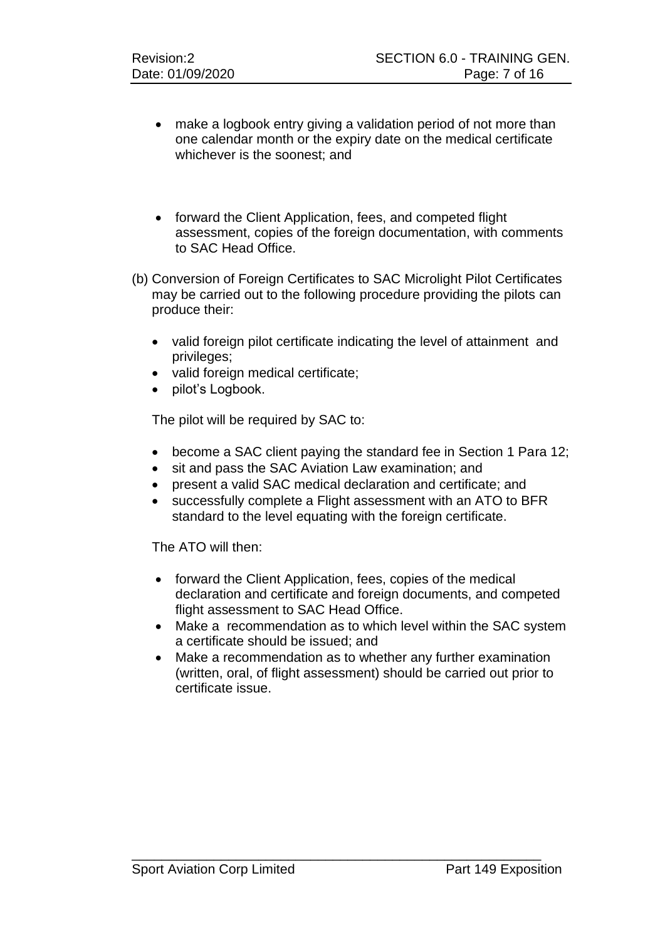- make a logbook entry giving a validation period of not more than one calendar month or the expiry date on the medical certificate whichever is the soonest; and
- forward the Client Application, fees, and competed flight assessment, copies of the foreign documentation, with comments to SAC Head Office.
- (b) Conversion of Foreign Certificates to SAC Microlight Pilot Certificates may be carried out to the following procedure providing the pilots can produce their:
	- valid foreign pilot certificate indicating the level of attainment and privileges;
	- valid foreign medical certificate;
	- pilot's Logbook.

The pilot will be required by SAC to:

- become a SAC client paying the standard fee in Section 1 Para 12;
- sit and pass the SAC Aviation Law examination; and
- present a valid SAC medical declaration and certificate; and
- successfully complete a Flight assessment with an ATO to BFR standard to the level equating with the foreign certificate.

The ATO will then:

- forward the Client Application, fees, copies of the medical declaration and certificate and foreign documents, and competed flight assessment to SAC Head Office.
- Make a recommendation as to which level within the SAC system a certificate should be issued; and
- Make a recommendation as to whether any further examination (written, oral, of flight assessment) should be carried out prior to certificate issue.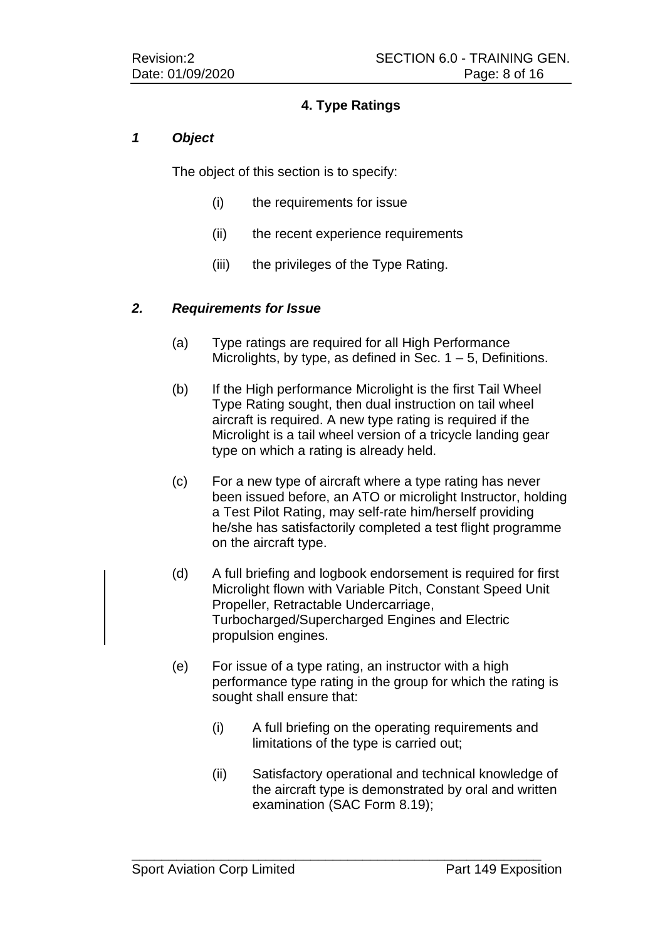## **4. Type Ratings**

### *1 Object*

The object of this section is to specify:

- (i) the requirements for issue
- (ii) the recent experience requirements
- (iii) the privileges of the Type Rating.

### *2. Requirements for Issue*

- (a) Type ratings are required for all High Performance Microlights, by type, as defined in Sec.  $1 - 5$ , Definitions.
- (b) If the High performance Microlight is the first Tail Wheel Type Rating sought, then dual instruction on tail wheel aircraft is required. A new type rating is required if the Microlight is a tail wheel version of a tricycle landing gear type on which a rating is already held.
- (c) For a new type of aircraft where a type rating has never been issued before, an ATO or microlight Instructor, holding a Test Pilot Rating, may self-rate him/herself providing he/she has satisfactorily completed a test flight programme on the aircraft type.
- (d) A full briefing and logbook endorsement is required for first Microlight flown with Variable Pitch, Constant Speed Unit Propeller, Retractable Undercarriage, Turbocharged/Supercharged Engines and Electric propulsion engines.
- (e) For issue of a type rating, an instructor with a high performance type rating in the group for which the rating is sought shall ensure that:
	- (i) A full briefing on the operating requirements and limitations of the type is carried out;
	- (ii) Satisfactory operational and technical knowledge of the aircraft type is demonstrated by oral and written examination (SAC Form 8.19);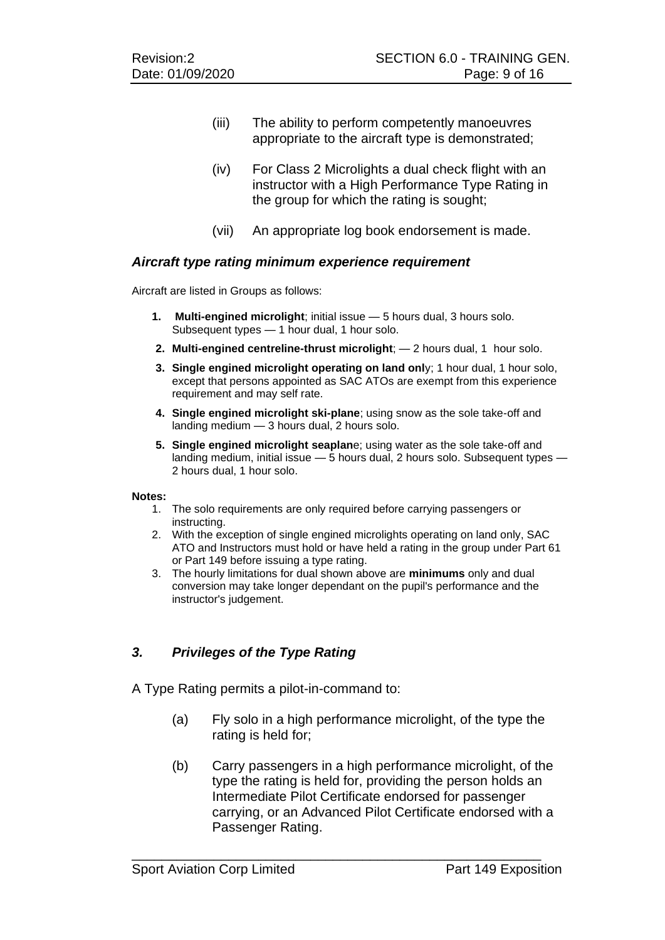- (iii) The ability to perform competently manoeuvres appropriate to the aircraft type is demonstrated;
- (iv) For Class 2 Microlights a dual check flight with an instructor with a High Performance Type Rating in the group for which the rating is sought;
- (vii) An appropriate log book endorsement is made.

### *Aircraft type rating minimum experience requirement*

Aircraft are listed in Groups as follows:

- **1. Multi-engined microlight**; initial issue 5 hours dual, 3 hours solo. Subsequent types — 1 hour dual, 1 hour solo.
- **2. Multi-engined centreline-thrust microlight**; 2 hours dual, 1 hour solo.
- **3. Single engined microlight operating on land onl**y; 1 hour dual, 1 hour solo, except that persons appointed as SAC ATOs are exempt from this experience requirement and may self rate.
- **4. Single engined microlight ski-plane**; using snow as the sole take-off and landing medium — 3 hours dual, 2 hours solo.
- **5. Single engined microlight seaplan**e; using water as the sole take-off and landing medium, initial issue — 5 hours dual, 2 hours solo. Subsequent types — 2 hours dual, 1 hour solo.

#### **Notes:**

- 1. The solo requirements are only required before carrying passengers or instructing.
- 2. With the exception of single engined microlights operating on land only, SAC ATO and Instructors must hold or have held a rating in the group under Part 61 or Part 149 before issuing a type rating.
- 3. The hourly limitations for dual shown above are **minimums** only and dual conversion may take longer dependant on the pupil's performance and the instructor's judgement.

## *3. Privileges of the Type Rating*

A Type Rating permits a pilot-in-command to:

- (a) Fly solo in a high performance microlight, of the type the rating is held for;
- (b) Carry passengers in a high performance microlight, of the type the rating is held for, providing the person holds an Intermediate Pilot Certificate endorsed for passenger carrying, or an Advanced Pilot Certificate endorsed with a Passenger Rating.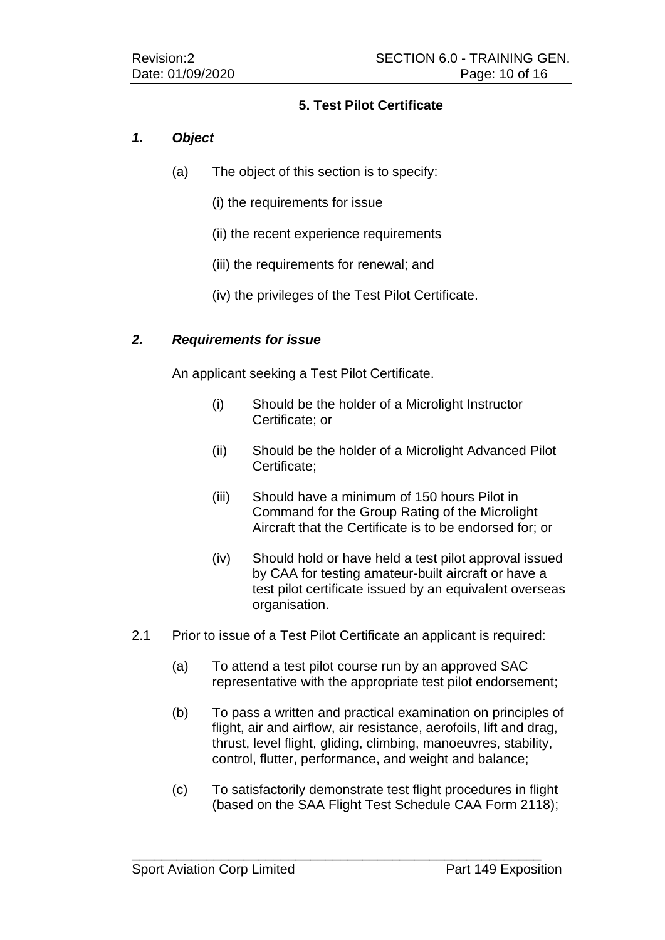## **5. Test Pilot Certificate**

## *1. Object*

- (a) The object of this section is to specify:
	- (i) the requirements for issue
	- (ii) the recent experience requirements
	- (iii) the requirements for renewal; and
	- (iv) the privileges of the Test Pilot Certificate.

## *2. Requirements for issue*

An applicant seeking a Test Pilot Certificate.

- (i) Should be the holder of a Microlight Instructor Certificate; or
- (ii) Should be the holder of a Microlight Advanced Pilot Certificate;
- (iii) Should have a minimum of 150 hours Pilot in Command for the Group Rating of the Microlight Aircraft that the Certificate is to be endorsed for; or
- (iv) Should hold or have held a test pilot approval issued by CAA for testing amateur-built aircraft or have a test pilot certificate issued by an equivalent overseas organisation.
- 2.1 Prior to issue of a Test Pilot Certificate an applicant is required:
	- (a) To attend a test pilot course run by an approved SAC representative with the appropriate test pilot endorsement;
	- (b) To pass a written and practical examination on principles of flight, air and airflow, air resistance, aerofoils, lift and drag, thrust, level flight, gliding, climbing, manoeuvres, stability, control, flutter, performance, and weight and balance;
	- (c) To satisfactorily demonstrate test flight procedures in flight (based on the SAA Flight Test Schedule CAA Form 2118);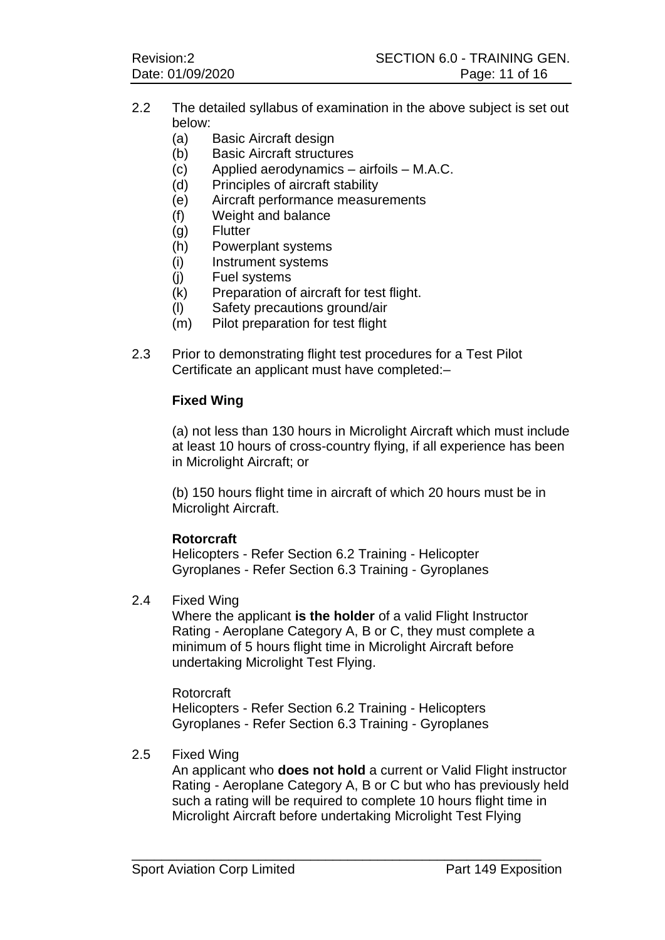- 2.2 The detailed syllabus of examination in the above subject is set out below:
	- (a) Basic Aircraft design
	- (b) Basic Aircraft structures
	- (c) Applied aerodynamics airfoils M.A.C.
	- (d) Principles of aircraft stability
	- (e) Aircraft performance measurements
	- (f) Weight and balance
	- (g) Flutter
	- (h) Powerplant systems
	- (i) Instrument systems
	- (j) Fuel systems
	- (k) Preparation of aircraft for test flight.
	- (l) Safety precautions ground/air
	- (m) Pilot preparation for test flight
- 2.3 Prior to demonstrating flight test procedures for a Test Pilot Certificate an applicant must have completed:–

### **Fixed Wing**

(a) not less than 130 hours in Microlight Aircraft which must include at least 10 hours of cross-country flying, if all experience has been in Microlight Aircraft; or

(b) 150 hours flight time in aircraft of which 20 hours must be in Microlight Aircraft.

### **Rotorcraft**

Helicopters - Refer Section 6.2 Training - Helicopter Gyroplanes - Refer Section 6.3 Training - Gyroplanes

#### 2.4 Fixed Wing

Where the applicant **is the holder** of a valid Flight Instructor Rating - Aeroplane Category A, B or C, they must complete a minimum of 5 hours flight time in Microlight Aircraft before undertaking Microlight Test Flying.

Rotorcraft Helicopters - Refer Section 6.2 Training - Helicopters Gyroplanes - Refer Section 6.3 Training - Gyroplanes

\_\_\_\_\_\_\_\_\_\_\_\_\_\_\_\_\_\_\_\_\_\_\_\_\_\_\_\_\_\_\_\_\_\_\_\_\_\_\_\_\_\_\_\_\_\_\_\_\_\_\_\_\_\_\_

### 2.5 Fixed Wing

An applicant who **does not hold** a current or Valid Flight instructor Rating - Aeroplane Category A, B or C but who has previously held such a rating will be required to complete 10 hours flight time in Microlight Aircraft before undertaking Microlight Test Flying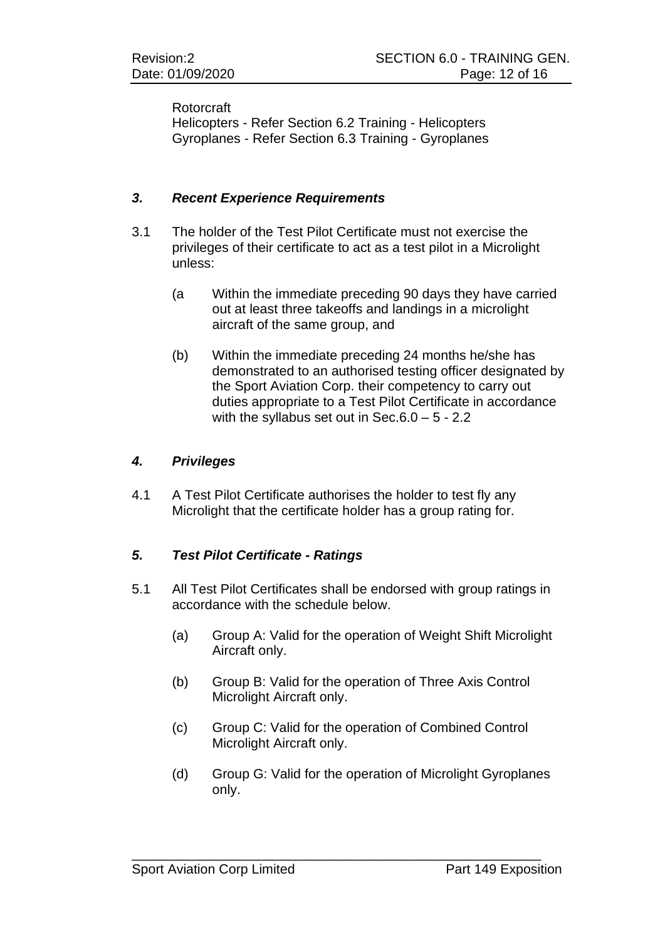### Rotorcraft

Helicopters - Refer Section 6.2 Training - Helicopters Gyroplanes - Refer Section 6.3 Training - Gyroplanes

### *3. Recent Experience Requirements*

- 3.1 The holder of the Test Pilot Certificate must not exercise the privileges of their certificate to act as a test pilot in a Microlight unless:
	- (a Within the immediate preceding 90 days they have carried out at least three takeoffs and landings in a microlight aircraft of the same group, and
	- (b) Within the immediate preceding 24 months he/she has demonstrated to an authorised testing officer designated by the Sport Aviation Corp. their competency to carry out duties appropriate to a Test Pilot Certificate in accordance with the syllabus set out in Sec.6.0 – 5 - 2.2

### *4. Privileges*

4.1 A Test Pilot Certificate authorises the holder to test fly any Microlight that the certificate holder has a group rating for.

## *5. Test Pilot Certificate - Ratings*

- 5.1 All Test Pilot Certificates shall be endorsed with group ratings in accordance with the schedule below.
	- (a) Group A: Valid for the operation of Weight Shift Microlight Aircraft only.
	- (b) Group B: Valid for the operation of Three Axis Control Microlight Aircraft only.
	- (c) Group C: Valid for the operation of Combined Control Microlight Aircraft only.

\_\_\_\_\_\_\_\_\_\_\_\_\_\_\_\_\_\_\_\_\_\_\_\_\_\_\_\_\_\_\_\_\_\_\_\_\_\_\_\_\_\_\_\_\_\_\_\_\_\_\_\_\_\_\_

(d) Group G: Valid for the operation of Microlight Gyroplanes only.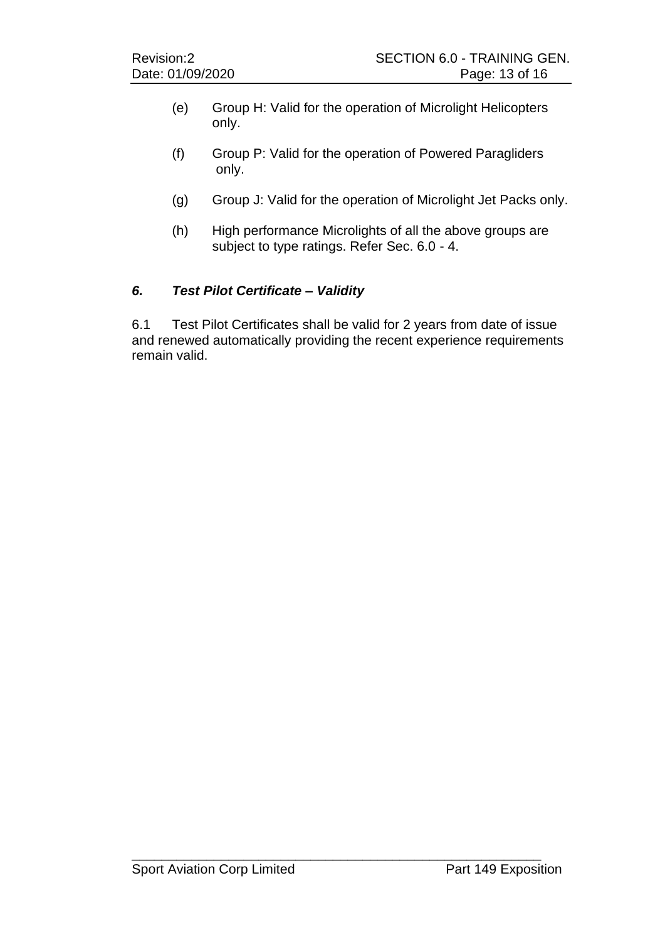- (e) Group H: Valid for the operation of Microlight Helicopters only.
- (f) Group P: Valid for the operation of Powered Paragliders only.
- (g) Group J: Valid for the operation of Microlight Jet Packs only.
- (h) High performance Microlights of all the above groups are subject to type ratings. Refer Sec. 6.0 - 4.

## *6. Test Pilot Certificate – Validity*

6.1 Test Pilot Certificates shall be valid for 2 years from date of issue and renewed automatically providing the recent experience requirements remain valid.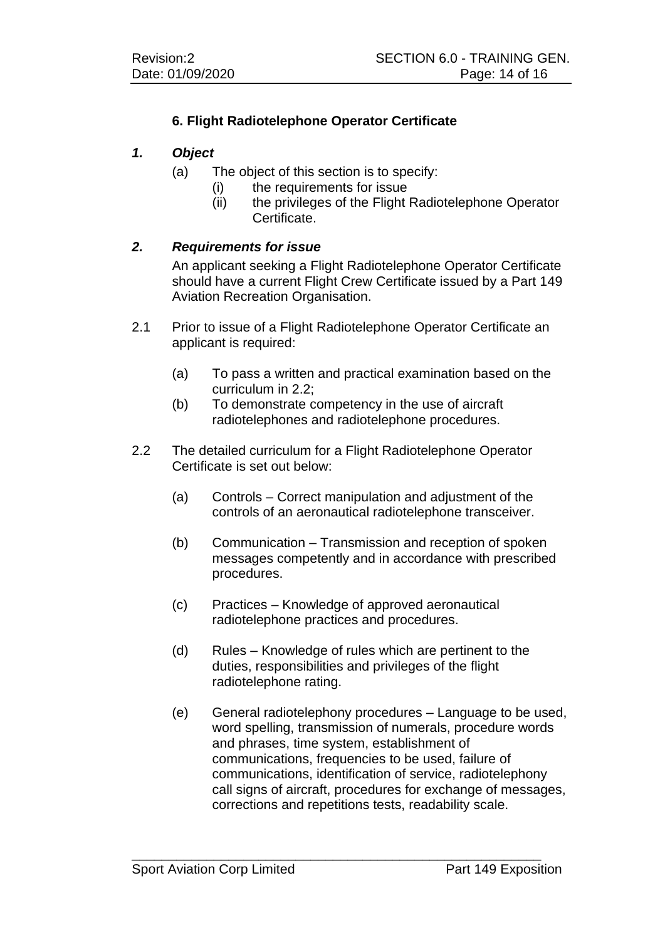## **6. Flight Radiotelephone Operator Certificate**

### *1. Object*

- (a) The object of this section is to specify:
	- (i) the requirements for issue
		- (ii) the privileges of the Flight Radiotelephone Operator Certificate.

## *2. Requirements for issue*

An applicant seeking a Flight Radiotelephone Operator Certificate should have a current Flight Crew Certificate issued by a Part 149 Aviation Recreation Organisation.

- 2.1 Prior to issue of a Flight Radiotelephone Operator Certificate an applicant is required:
	- (a) To pass a written and practical examination based on the curriculum in 2.2;
	- (b) To demonstrate competency in the use of aircraft radiotelephones and radiotelephone procedures.
- 2.2 The detailed curriculum for a Flight Radiotelephone Operator Certificate is set out below:
	- (a) Controls Correct manipulation and adjustment of the controls of an aeronautical radiotelephone transceiver.
	- (b) Communication Transmission and reception of spoken messages competently and in accordance with prescribed procedures.
	- (c) Practices Knowledge of approved aeronautical radiotelephone practices and procedures.

- (d) Rules Knowledge of rules which are pertinent to the duties, responsibilities and privileges of the flight radiotelephone rating.
- (e) General radiotelephony procedures Language to be used, word spelling, transmission of numerals, procedure words and phrases, time system, establishment of communications, frequencies to be used, failure of communications, identification of service, radiotelephony call signs of aircraft, procedures for exchange of messages, corrections and repetitions tests, readability scale.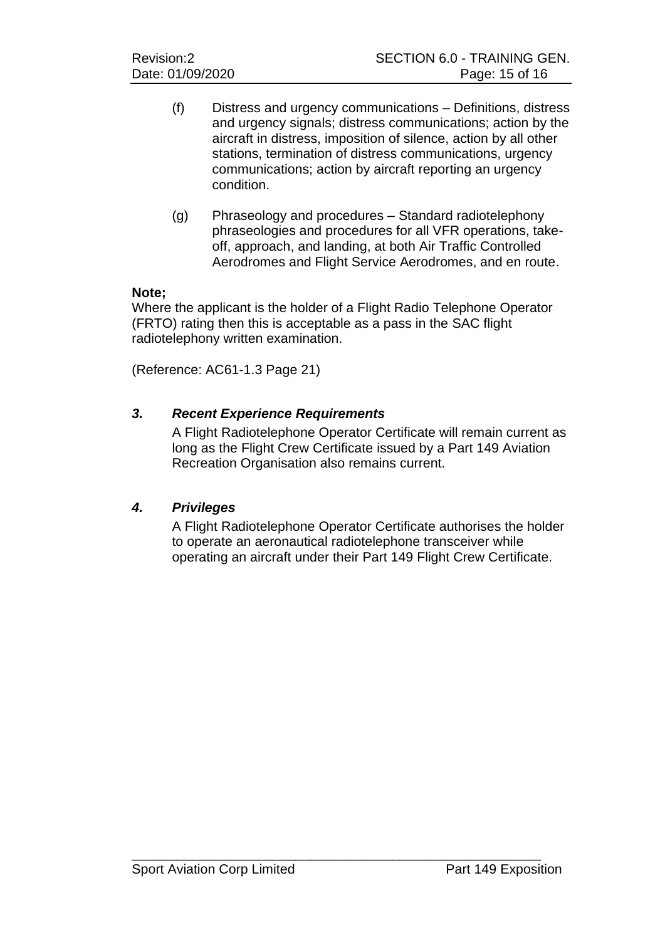- (f) Distress and urgency communications Definitions, distress and urgency signals; distress communications; action by the aircraft in distress, imposition of silence, action by all other stations, termination of distress communications, urgency communications; action by aircraft reporting an urgency condition.
- (g) Phraseology and procedures Standard radiotelephony phraseologies and procedures for all VFR operations, takeoff, approach, and landing, at both Air Traffic Controlled Aerodromes and Flight Service Aerodromes, and en route.

### **Note;**

Where the applicant is the holder of a Flight Radio Telephone Operator (FRTO) rating then this is acceptable as a pass in the SAC flight radiotelephony written examination.

(Reference: AC61-1.3 Page 21)

## *3. Recent Experience Requirements*

A Flight Radiotelephone Operator Certificate will remain current as long as the Flight Crew Certificate issued by a Part 149 Aviation Recreation Organisation also remains current.

## *4. Privileges*

A Flight Radiotelephone Operator Certificate authorises the holder to operate an aeronautical radiotelephone transceiver while operating an aircraft under their Part 149 Flight Crew Certificate.